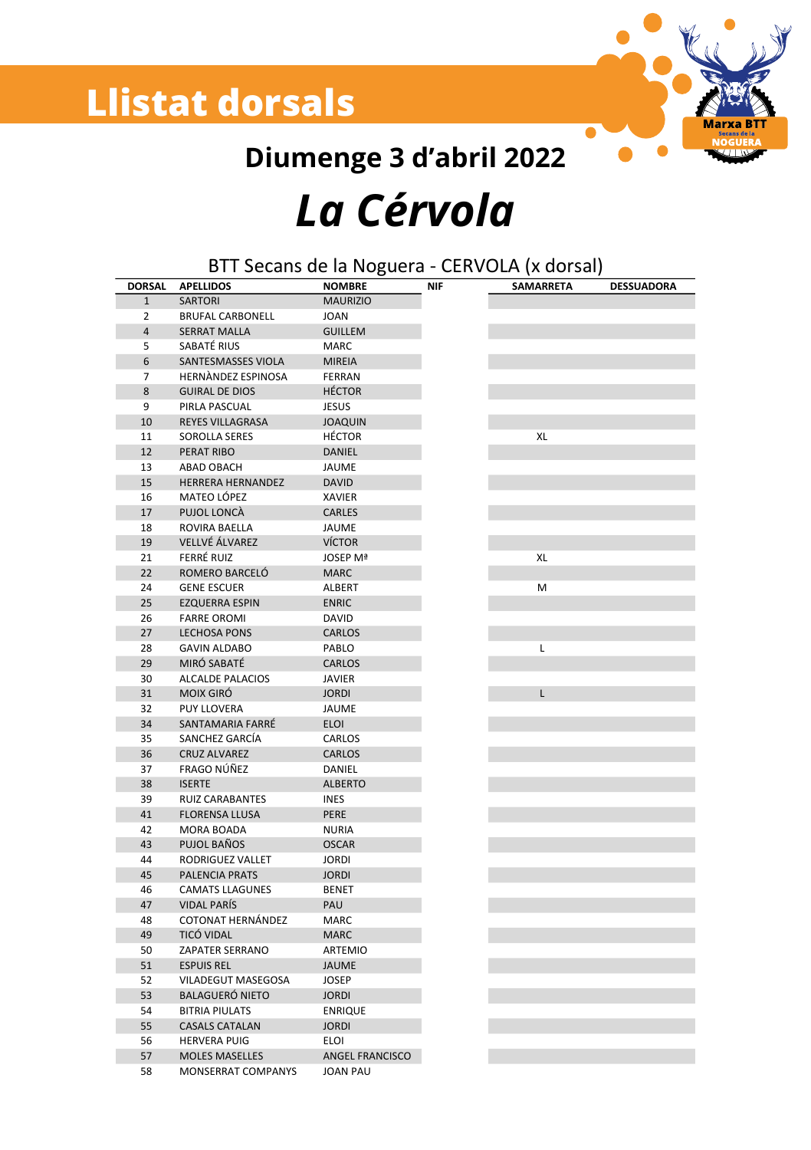### **Llistat dorsals**



Diumenge 3 d'abril 2022 La Cérvola

#### BTT Secans de la Noguera - CERVOLA (x dorsal)

| <b>DORSAL</b>  | <b>APELLIDOS</b>         | <b>NOMBRE</b>          | <b>NIF</b> | <b>SAMARRETA</b> | <b>DESSUADORA</b> |
|----------------|--------------------------|------------------------|------------|------------------|-------------------|
| 1              | <b>SARTORI</b>           | <b>MAURIZIO</b>        |            |                  |                   |
| 2              | <b>BRUFAL CARBONELL</b>  | <b>JOAN</b>            |            |                  |                   |
| 4              | <b>SERRAT MALLA</b>      | <b>GUILLEM</b>         |            |                  |                   |
| 5              | SABATÉ RIUS              | MARC                   |            |                  |                   |
| 6              | SANTESMASSES VIOLA       | <b>MIREIA</b>          |            |                  |                   |
| $\overline{7}$ | HERNANDEZ ESPINOSA       | FERRAN                 |            |                  |                   |
| 8              | <b>GUIRAL DE DIOS</b>    | <b>HÉCTOR</b>          |            |                  |                   |
| 9              | PIRLA PASCUAL            | <b>JESUS</b>           |            |                  |                   |
| 10             | REYES VILLAGRASA         | <b>JOAQUIN</b>         |            |                  |                   |
| 11             | <b>SOROLLA SERES</b>     | <b>HÉCTOR</b>          |            | XL               |                   |
| 12             | PERAT RIBO               | DANIEL                 |            |                  |                   |
| 13             | ABAD OBACH               | JAUME                  |            |                  |                   |
| 15             | <b>HERRERA HERNANDEZ</b> | <b>DAVID</b>           |            |                  |                   |
| 16             | MATEO LÓPEZ              | XAVIER                 |            |                  |                   |
| 17             | PUJOL LONCÀ              | CARLES                 |            |                  |                   |
| 18             | ROVIRA BAELLA            | <b>JAUME</b>           |            |                  |                   |
| 19             | VELLVÉ ÁLVAREZ           | <b>VÍCTOR</b>          |            |                  |                   |
| 21             | FERRÉ RUIZ               | <b>JOSEP Mª</b>        |            | XL               |                   |
| 22             | ROMERO BARCELÓ           | <b>MARC</b>            |            |                  |                   |
| 24             | <b>GENE ESCUER</b>       | ALBERT                 |            | M                |                   |
| 25             | <b>EZQUERRA ESPIN</b>    | <b>ENRIC</b>           |            |                  |                   |
| 26             | <b>FARRE OROMI</b>       | DAVID                  |            |                  |                   |
| 27             | <b>LECHOSA PONS</b>      | CARLOS                 |            |                  |                   |
| 28             | <b>GAVIN ALDABO</b>      | PABLO                  |            | L                |                   |
| 29             | MIRÓ SABATÉ              | <b>CARLOS</b>          |            |                  |                   |
| 30             | ALCALDE PALACIOS         | <b>JAVIER</b>          |            |                  |                   |
| 31             | <b>MOIX GIRÓ</b>         | <b>JORDI</b>           |            | L                |                   |
| 32             | <b>PUY LLOVERA</b>       | JAUME                  |            |                  |                   |
| 34             | SANTAMARIA FARRÉ         | <b>ELOI</b>            |            |                  |                   |
| 35             | SANCHEZ GARCÍA           | CARLOS                 |            |                  |                   |
| 36             | <b>CRUZ ALVAREZ</b>      | <b>CARLOS</b>          |            |                  |                   |
| 37             | FRAGO NÚÑEZ              | DANIEL                 |            |                  |                   |
| 38             | <b>ISERTE</b>            | <b>ALBERTO</b>         |            |                  |                   |
| 39             | <b>RUIZ CARABANTES</b>   | <b>INES</b>            |            |                  |                   |
| 41             | <b>FLORENSA LLUSA</b>    | PERE                   |            |                  |                   |
| 42             | MORA BOADA               | <b>NURIA</b>           |            |                  |                   |
| 43             | PUJOL BAÑOS              | <b>OSCAR</b>           |            |                  |                   |
| 44             | RODRIGUEZ VALLET         | <b>JORDI</b>           |            |                  |                   |
| 45             | PALENCIA PRATS           | <b>JORDI</b>           |            |                  |                   |
| 46             | <b>CAMATS LLAGUNES</b>   | <b>BENET</b>           |            |                  |                   |
| 47             | <b>VIDAL PARÍS</b>       | PAU                    |            |                  |                   |
| 48             | COTONAT HERNÁNDEZ        | MARC                   |            |                  |                   |
| 49             | TICÓ VIDAL               | <b>MARC</b>            |            |                  |                   |
| 50             | ZAPATER SERRANO          | ARTEMIO                |            |                  |                   |
| 51             | <b>ESPUIS REL</b>        | <b>JAUME</b>           |            |                  |                   |
| 52             | VILADEGUT MASEGOSA       | <b>JOSEP</b>           |            |                  |                   |
| 53             | <b>BALAGUERÓ NIETO</b>   | <b>JORDI</b>           |            |                  |                   |
| 54             | <b>BITRIA PIULATS</b>    | <b>ENRIQUE</b>         |            |                  |                   |
| 55             | <b>CASALS CATALAN</b>    | <b>JORDI</b>           |            |                  |                   |
| 56             | <b>HERVERA PUIG</b>      | <b>ELOI</b>            |            |                  |                   |
| 57             | <b>MOLES MASELLES</b>    | <b>ANGEL FRANCISCO</b> |            |                  |                   |
| 58             | MONSERRAT COMPANYS       | <b>JOAN PAU</b>        |            |                  |                   |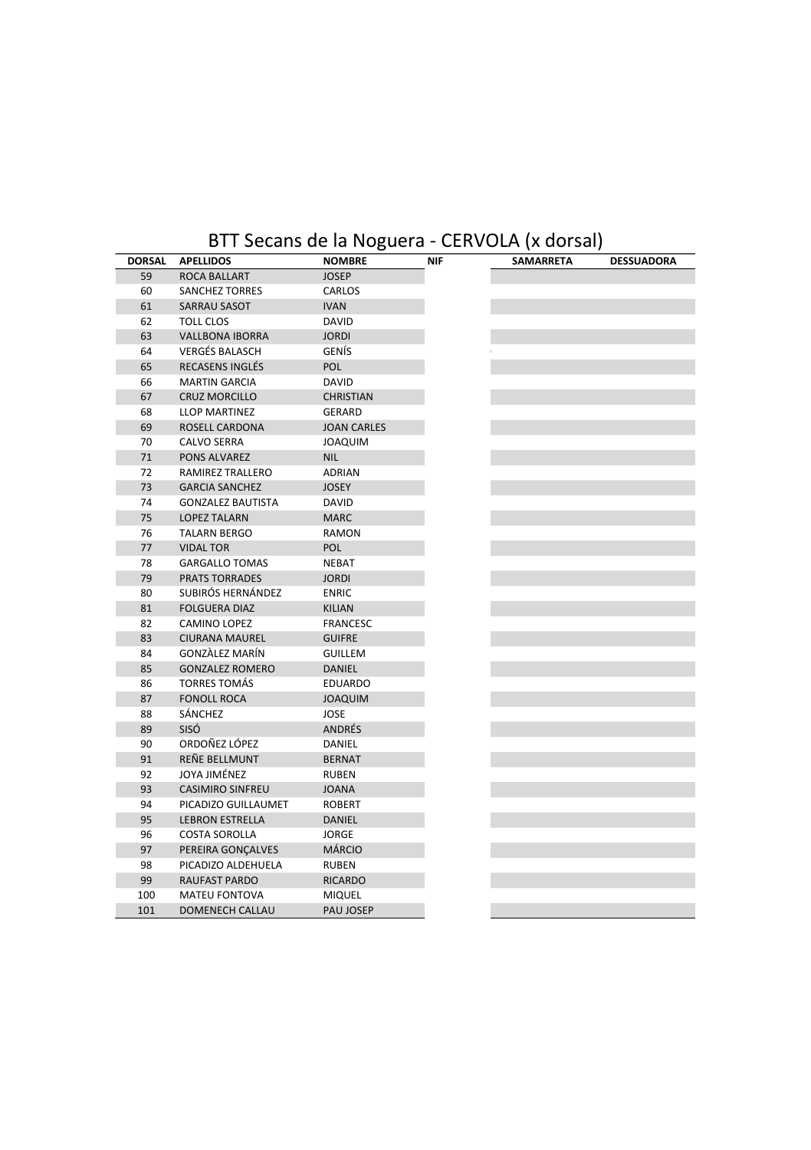#### BTT Secans de la Noguera - CERVOLA (x dorsal)

| <b>DORSAL</b> | <b>APELLIDOS</b>         | <b>NOMBRE</b>      | <b>NIF</b> | SAMARRETA |
|---------------|--------------------------|--------------------|------------|-----------|
| 59            | ROCA BALLART             | <b>JOSEP</b>       |            |           |
| 60            | <b>SANCHEZ TORRES</b>    | CARLOS             |            |           |
| 61            | SARRAU SASOT             | <b>IVAN</b>        |            |           |
| 62            | <b>TOLL CLOS</b>         | DAVID              |            |           |
| 63            | <b>VALLBONA IBORRA</b>   | <b>JORDI</b>       |            |           |
| 64            | <b>VERGÉS BALASCH</b>    | GENÍS              |            |           |
| 65            | <b>RECASENS INGLÉS</b>   | POL                |            |           |
| 66            | <b>MARTIN GARCIA</b>     | DAVID              |            |           |
| 67            | <b>CRUZ MORCILLO</b>     | <b>CHRISTIAN</b>   |            |           |
| 68            | LLOP MARTINEZ            | GERARD             |            |           |
| 69            | ROSELL CARDONA           | <b>JOAN CARLES</b> |            |           |
| 70            | CALVO SERRA              | <b>JOAQUIM</b>     |            |           |
| 71            | PONS ALVAREZ             | <b>NIL</b>         |            |           |
| 72            | RAMIREZ TRALLERO         | ADRIAN             |            |           |
| 73            | <b>GARCIA SANCHEZ</b>    | <b>JOSEY</b>       |            |           |
| 74            | <b>GONZALEZ BAUTISTA</b> | DAVID              |            |           |
| 75            | <b>LOPEZ TALARN</b>      | <b>MARC</b>        |            |           |
| 76            | <b>TALARN BERGO</b>      | RAMON              |            |           |
| 77            | <b>VIDAL TOR</b>         | POL                |            |           |
| 78            | <b>GARGALLO TOMAS</b>    | NEBAT              |            |           |
| 79            | <b>PRATS TORRADES</b>    | <b>JORDI</b>       |            |           |
| 80            | SUBIRÓS HERNÁNDEZ        | <b>ENRIC</b>       |            |           |
| 81            | <b>FOLGUERA DIAZ</b>     | <b>KILIAN</b>      |            |           |
| 82            | CAMINO LOPEZ             | <b>FRANCESC</b>    |            |           |
| 83            | <b>CIURANA MAUREL</b>    | <b>GUIFRE</b>      |            |           |
| 84            | GONZALEZ MARÍN           | <b>GUILLEM</b>     |            |           |
| 85            |                          |                    |            |           |
|               | <b>GONZALEZ ROMERO</b>   | DANIEL             |            |           |
| 86            | <b>TORRES TOMÁS</b>      | EDUARDO            |            |           |
| 87            | <b>FONOLL ROCA</b>       | <b>JOAQUIM</b>     |            |           |
| 88            | SÁNCHEZ                  | JOSE               |            |           |
| 89            | SISÓ                     | ANDRÉS             |            |           |
| 90            | ORDOÑEZ LÓPEZ            | DANIEL             |            |           |
| 91            | REÑE BELLMUNT            | <b>BERNAT</b>      |            |           |
| 92            | JOYA JIMÉNEZ             | RUBEN              |            |           |
| 93            | <b>CASIMIRO SINFREU</b>  | <b>JOANA</b>       |            |           |
| 94            | PICADIZO GUILLAUMET      | <b>ROBERT</b>      |            |           |
| 95            | <b>LEBRON ESTRELLA</b>   | DANIEL             |            |           |
| 96            | <b>COSTA SOROLLA</b>     | JORGE              |            |           |
| 97            | PEREIRA GONCALVES        | <b>MÁRCIO</b>      |            |           |
| 98            | PICADIZO ALDEHUELA       | RUBEN              |            |           |
| 99            | RAUFAST PARDO            | <b>RICARDO</b>     |            |           |
| 100           | <b>MATEU FONTOVA</b>     | MIQUEL             |            |           |
| 101           | DOMENECH CALLAU          | PAU JOSEP          |            |           |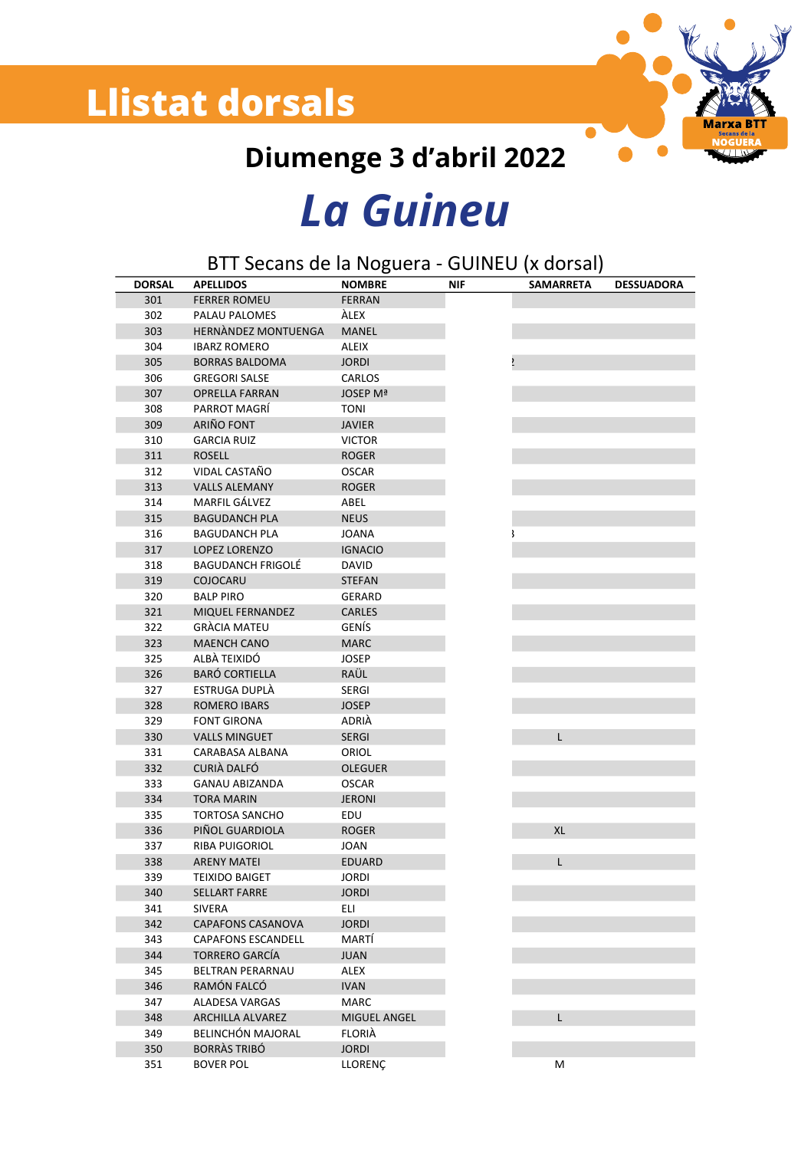### **Llistat dorsals**



Diumenge 3 d'abril 2022

## **La Guineu**

| BTT Secans de la Noguera - GUINEU (x dorsal) |                          |                |            |                  |                   |  |
|----------------------------------------------|--------------------------|----------------|------------|------------------|-------------------|--|
| <b>DORSAL</b>                                | <b>APELLIDOS</b>         | <b>NOMBRE</b>  | <b>NIF</b> | <b>SAMARRETA</b> | <b>DESSUADORA</b> |  |
| 301                                          | <b>FERRER ROMEU</b>      | <b>FERRAN</b>  |            |                  |                   |  |
| 302                                          | PALAU PALOMES            | ÀLEX           |            |                  |                   |  |
| 303                                          | HERNANDEZ MONTUENGA      | MANEL          |            |                  |                   |  |
| 304                                          | <b>IBARZ ROMERO</b>      | <b>ALEIX</b>   |            |                  |                   |  |
| 305                                          | <b>BORRAS BALDOMA</b>    | <b>JORDI</b>   |            |                  |                   |  |
| 306                                          | <b>GREGORI SALSE</b>     | CARLOS         |            |                  |                   |  |
| 307                                          | OPRELLA FARRAN           | JOSEP Mª       |            |                  |                   |  |
| 308                                          | PARROT MAGRÍ             | <b>TONI</b>    |            |                  |                   |  |
| 309                                          | ARIÑO FONT               | <b>JAVIER</b>  |            |                  |                   |  |
| 310                                          | <b>GARCIA RUIZ</b>       | <b>VICTOR</b>  |            |                  |                   |  |
| 311                                          | <b>ROSELL</b>            | <b>ROGER</b>   |            |                  |                   |  |
| 312                                          | VIDAL CASTAÑO            | <b>OSCAR</b>   |            |                  |                   |  |
| 313                                          | <b>VALLS ALEMANY</b>     | <b>ROGER</b>   |            |                  |                   |  |
| 314                                          | MARFIL GALVEZ            | ABEL           |            |                  |                   |  |
| 315                                          | <b>BAGUDANCH PLA</b>     | <b>NEUS</b>    |            |                  |                   |  |
| 316                                          | <b>BAGUDANCH PLA</b>     | <b>JOANA</b>   |            |                  |                   |  |
| 317                                          | LOPEZ LORENZO            | <b>IGNACIO</b> |            |                  |                   |  |
|                                              |                          |                |            |                  |                   |  |
| 318                                          | <b>BAGUDANCH FRIGOLÉ</b> | DAVID          |            |                  |                   |  |
| 319                                          | COJOCARU                 | <b>STEFAN</b>  |            |                  |                   |  |
| 320                                          | <b>BALP PIRO</b>         | <b>GERARD</b>  |            |                  |                   |  |
| 321                                          | MIQUEL FERNANDEZ         | CARLES         |            |                  |                   |  |
| 322                                          | <b>GRÀCIA MATEU</b>      | GENÍS          |            |                  |                   |  |
| 323                                          | <b>MAENCH CANO</b>       | <b>MARC</b>    |            |                  |                   |  |
| 325                                          | ALBÀ TEIXIDÓ             | <b>JOSEP</b>   |            |                  |                   |  |
| 326                                          | <b>BARÓ CORTIELLA</b>    | RAÜL           |            |                  |                   |  |
| 327                                          | ESTRUGA DUPLÀ            | <b>SERGI</b>   |            |                  |                   |  |
| 328                                          | <b>ROMERO IBARS</b>      | <b>JOSEP</b>   |            |                  |                   |  |
| 329                                          | <b>FONT GIRONA</b>       | ADRIÀ          |            |                  |                   |  |
| 330                                          | <b>VALLS MINGUET</b>     | <b>SERGI</b>   |            | L                |                   |  |
| 331                                          | CARABASA ALBANA          | ORIOL          |            |                  |                   |  |
| 332                                          | CURIÀ DALFÓ              | <b>OLEGUER</b> |            |                  |                   |  |
| 333                                          | <b>GANAU ABIZANDA</b>    | <b>OSCAR</b>   |            |                  |                   |  |
| 334                                          | <b>TORA MARIN</b>        | <b>JERONI</b>  |            |                  |                   |  |
| 335                                          | <b>TORTOSA SANCHO</b>    | EDU            |            |                  |                   |  |
| 336                                          | PIÑOL GUARDIOLA          | <b>ROGER</b>   |            | XL               |                   |  |
| 337                                          | <b>RIBA PUIGORIOL</b>    | <b>JOAN</b>    |            |                  |                   |  |
| 338                                          | <b>ARENY MATEI</b>       | EDUARD         |            | Г                |                   |  |
| 339                                          | <b>TEIXIDO BAIGET</b>    | <b>JORDI</b>   |            |                  |                   |  |
| 340                                          | <b>SELLART FARRE</b>     | <b>JORDI</b>   |            |                  |                   |  |
| 341                                          | <b>SIVERA</b>            | <b>ELI</b>     |            |                  |                   |  |
| 342                                          | CAPAFONS CASANOVA        | <b>JORDI</b>   |            |                  |                   |  |
| 343                                          | CAPAFONS ESCANDELL       | MARTÍ          |            |                  |                   |  |
| 344                                          | <b>TORRERO GARCÍA</b>    | <b>JUAN</b>    |            |                  |                   |  |
| 345                                          | BELTRAN PERARNAU         | ALEX           |            |                  |                   |  |
| 346                                          | RAMÓN FALCÓ              | <b>IVAN</b>    |            |                  |                   |  |
| 347                                          | ALADESA VARGAS           | MARC           |            |                  |                   |  |
| 348                                          | <b>ARCHILLA ALVAREZ</b>  | MIGUEL ANGEL   |            | L                |                   |  |
| 349                                          | BELINCHÓN MAJORAL        | <b>FLORIA</b>  |            |                  |                   |  |
|                                              |                          |                |            |                  |                   |  |
| 350                                          | <b>BORRÀS TRIBÓ</b>      | <b>JORDI</b>   |            |                  |                   |  |
| 351                                          | <b>BOVER POL</b>         | LLORENC        |            | M                |                   |  |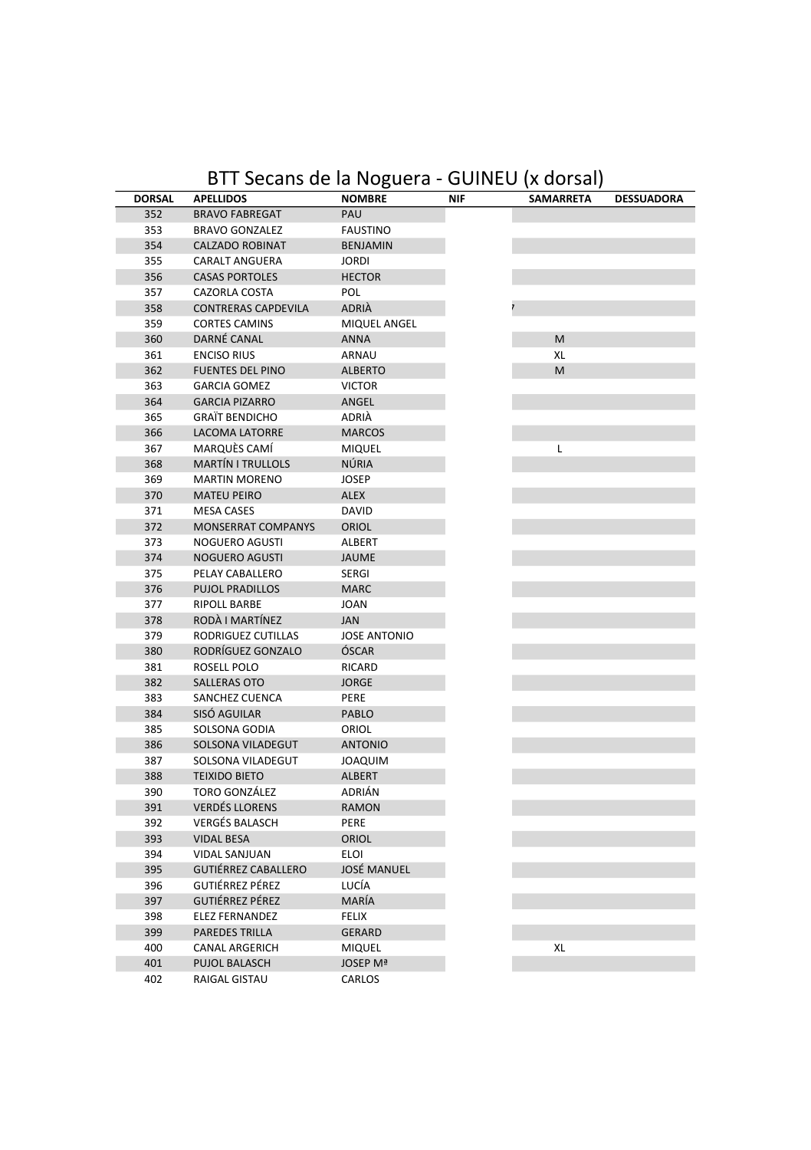#### BTT Secans de la Noguera - GUINEU (x dorsal)

| <b>DORSAL</b> | <b>APELLIDOS</b>           | <b>NOMBRE</b>       | <b>NIF</b> | <b>SAMARRETA</b> | <b>DESSUADORA</b> |
|---------------|----------------------------|---------------------|------------|------------------|-------------------|
| 352           | <b>BRAVO FABREGAT</b>      | PAU                 |            |                  |                   |
| 353           | <b>BRAVO GONZALEZ</b>      | <b>FAUSTINO</b>     |            |                  |                   |
| 354           | <b>CALZADO ROBINAT</b>     | <b>BENJAMIN</b>     |            |                  |                   |
| 355           | CARALT ANGUERA             | <b>JORDI</b>        |            |                  |                   |
| 356           | <b>CASAS PORTOLES</b>      | <b>HECTOR</b>       |            |                  |                   |
| 357           | CAZORLA COSTA              | POL                 |            |                  |                   |
| 358           | CONTRERAS CAPDEVILA        | ADRIÀ               |            |                  |                   |
| 359           | <b>CORTES CAMINS</b>       | MIQUEL ANGEL        |            |                  |                   |
| 360           | DARNÉ CANAL                | ANNA                |            | M                |                   |
| 361           | <b>ENCISO RIUS</b>         | ARNAU               |            | XL               |                   |
| 362           | <b>FUENTES DEL PINO</b>    | <b>ALBERTO</b>      |            | M                |                   |
| 363           | <b>GARCIA GOMEZ</b>        | <b>VICTOR</b>       |            |                  |                   |
| 364           | <b>GARCIA PIZARRO</b>      | ANGEL               |            |                  |                   |
| 365           | <b>GRAÏT BENDICHO</b>      | ADRIÀ               |            |                  |                   |
| 366           | <b>LACOMA LATORRE</b>      | <b>MARCOS</b>       |            |                  |                   |
| 367           | MARQUÈS CAMÍ               | <b>MIQUEL</b>       |            | L                |                   |
| 368           | <b>MARTÍN I TRULLOLS</b>   | NÚRIA               |            |                  |                   |
| 369           | <b>MARTIN MORENO</b>       | <b>JOSEP</b>        |            |                  |                   |
| 370           | <b>MATEU PEIRO</b>         | <b>ALEX</b>         |            |                  |                   |
| 371           | <b>MESA CASES</b>          | DAVID               |            |                  |                   |
| 372           | MONSERRAT COMPANYS         | ORIOL               |            |                  |                   |
| 373           | NOGUERO AGUSTI             | ALBERT              |            |                  |                   |
| 374           | <b>NOGUERO AGUSTI</b>      | <b>JAUME</b>        |            |                  |                   |
| 375           | PELAY CABALLERO            | SERGI               |            |                  |                   |
| 376           | <b>PUJOL PRADILLOS</b>     | <b>MARC</b>         |            |                  |                   |
| 377           | <b>RIPOLL BARBE</b>        | <b>JOAN</b>         |            |                  |                   |
| 378           | RODÀ I MARTÍNEZ            | JAN                 |            |                  |                   |
| 379           | RODRIGUEZ CUTILLAS         | <b>JOSE ANTONIO</b> |            |                  |                   |
| 380           | RODRÍGUEZ GONZALO          | ÓSCAR               |            |                  |                   |
| 381           | ROSELL POLO                | RICARD              |            |                  |                   |
| 382           | <b>SALLERAS OTO</b>        | <b>JORGE</b>        |            |                  |                   |
| 383           | SANCHEZ CUENCA             | PERE                |            |                  |                   |
| 384           | SISÓ AGUILAR               | PABLO               |            |                  |                   |
| 385           | SOLSONA GODIA              | ORIOL               |            |                  |                   |
| 386           | SOLSONA VILADEGUT          | <b>ANTONIO</b>      |            |                  |                   |
| 387           | SOLSONA VILADEGUT          | <b>MIUDAOL</b>      |            |                  |                   |
| 388           | <b>TEIXIDO BIETO</b>       | <b>ALBERT</b>       |            |                  |                   |
| 390           | <b>TORO GONZÁLEZ</b>       | ADRIÁN              |            |                  |                   |
| 391           | <b>VERDÉS LLORENS</b>      | <b>RAMON</b>        |            |                  |                   |
| 392           | <b>VERGÉS BALASCH</b>      | PERE                |            |                  |                   |
| 393           | <b>VIDAL BESA</b>          | <b>ORIOL</b>        |            |                  |                   |
| 394           | VIDAL SANJUAN              | <b>ELOI</b>         |            |                  |                   |
| 395           | <b>GUTIÉRREZ CABALLERO</b> | <b>JOSÉ MANUEL</b>  |            |                  |                   |
| 396           | GUTIÉRREZ PÉREZ            | LUCÍA               |            |                  |                   |
| 397           | GUTIÉRREZ PÉREZ            | MARÍA               |            |                  |                   |
| 398           | <b>ELEZ FERNANDEZ</b>      | <b>FELIX</b>        |            |                  |                   |
| 399           | <b>PAREDES TRILLA</b>      | <b>GERARD</b>       |            |                  |                   |
| 400           | CANAL ARGERICH             | <b>MIQUEL</b>       |            | XL               |                   |
| 401           | <b>PUJOL BALASCH</b>       | JOSEP Mª            |            |                  |                   |
| 402           | RAIGAL GISTAU              | CARLOS              |            |                  |                   |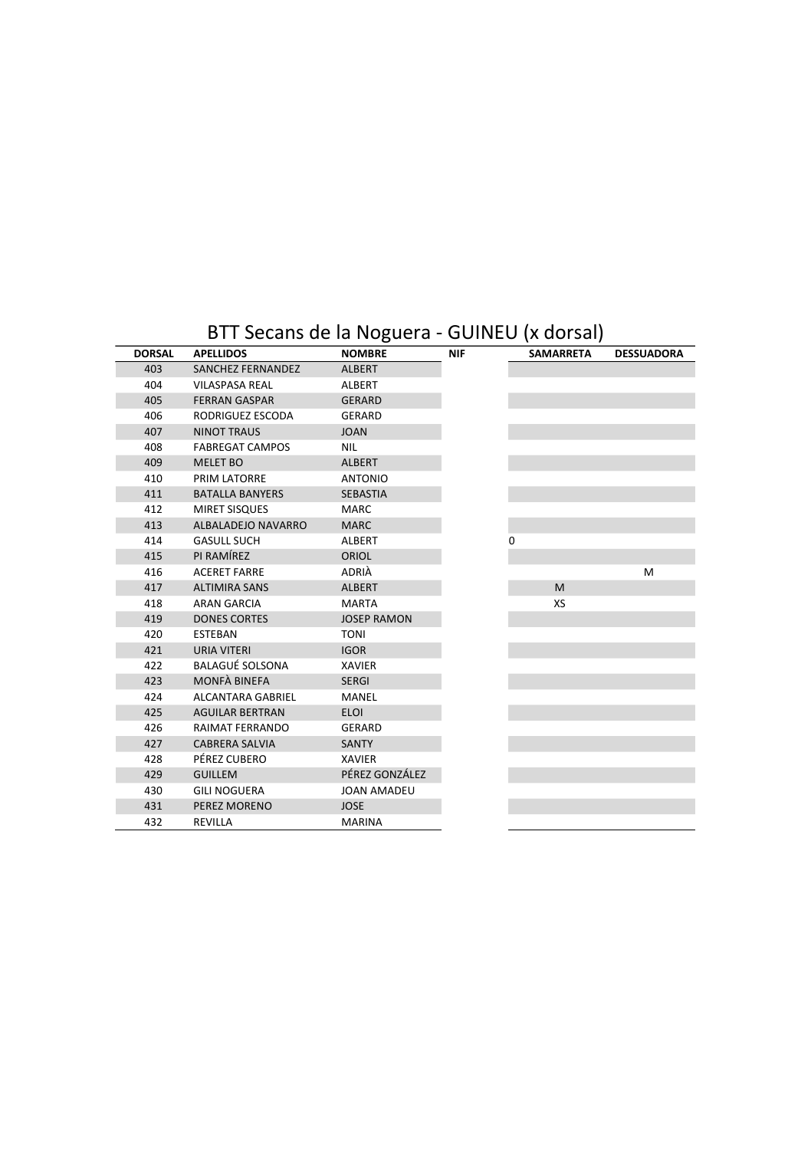#### BTT Secans de la Noguera - GUINEU (x dorsal)

| <b>DORSAL</b> | <b>APELLIDOS</b>       | <b>NOMBRE</b>      | <b>NIF</b> | <b>SAMARRETA</b> | <b>DESSUADORA</b> |
|---------------|------------------------|--------------------|------------|------------------|-------------------|
| 403           | SANCHEZ FERNANDEZ      | <b>ALBERT</b>      |            |                  |                   |
| 404           | <b>VILASPASA REAL</b>  | ALBERT             |            |                  |                   |
| 405           | <b>FERRAN GASPAR</b>   | <b>GERARD</b>      |            |                  |                   |
| 406           | RODRIGUEZ ESCODA       | GERARD             |            |                  |                   |
| 407           | <b>NINOT TRAUS</b>     | <b>JOAN</b>        |            |                  |                   |
| 408           | <b>FABREGAT CAMPOS</b> | <b>NIL</b>         |            |                  |                   |
| 409           | <b>MELET BO</b>        | <b>ALBERT</b>      |            |                  |                   |
| 410           | PRIM LATORRE           | <b>ANTONIO</b>     |            |                  |                   |
| 411           | <b>BATALLA BANYERS</b> | <b>SEBASTIA</b>    |            |                  |                   |
| 412           | MIRET SISQUES          | MARC.              |            |                  |                   |
| 413           | ALBALADEIO NAVARRO     | <b>MARC</b>        |            |                  |                   |
| 414           | <b>GASULL SUCH</b>     | ALBERT             |            | 0                |                   |
| 415           | PI RAMÍREZ             | <b>ORIOL</b>       |            |                  |                   |
| 416           | <b>ACERET FARRE</b>    | ADRIÀ              |            |                  | M                 |
| 417           | <b>ALTIMIRA SANS</b>   | <b>ALBERT</b>      |            | M                |                   |
| 418           | <b>ARAN GARCIA</b>     | <b>MARTA</b>       |            | XS               |                   |
| 419           | <b>DONES CORTES</b>    | <b>JOSEP RAMON</b> |            |                  |                   |
| 420           | <b>ESTEBAN</b>         | <b>TONI</b>        |            |                  |                   |
| 421           | <b>URIA VITERI</b>     | <b>IGOR</b>        |            |                  |                   |
| 422           | <b>BALAGUÉ SOLSONA</b> | <b>XAVIER</b>      |            |                  |                   |
| 423           | MONFÀ BINEFA           | <b>SERGI</b>       |            |                  |                   |
| 424           | ALCANTARA GABRIEL      | MANEL              |            |                  |                   |
| 425           | <b>AGUILAR BERTRAN</b> | <b>ELOI</b>        |            |                  |                   |
| 426           | RAIMAT FERRANDO        | <b>GERARD</b>      |            |                  |                   |
| 427           | <b>CABRERA SALVIA</b>  | SANTY              |            |                  |                   |
| 428           | PÉREZ CUBERO           | <b>XAVIER</b>      |            |                  |                   |
| 429           | <b>GUILLEM</b>         | PÉREZ GONZÁLEZ     |            |                  |                   |
| 430           | <b>GILI NOGUERA</b>    | <b>JOAN AMADEU</b> |            |                  |                   |
| 431           | PEREZ MORENO           | <b>JOSE</b>        |            |                  |                   |
| 432           | <b>REVILLA</b>         | <b>MARINA</b>      |            |                  |                   |